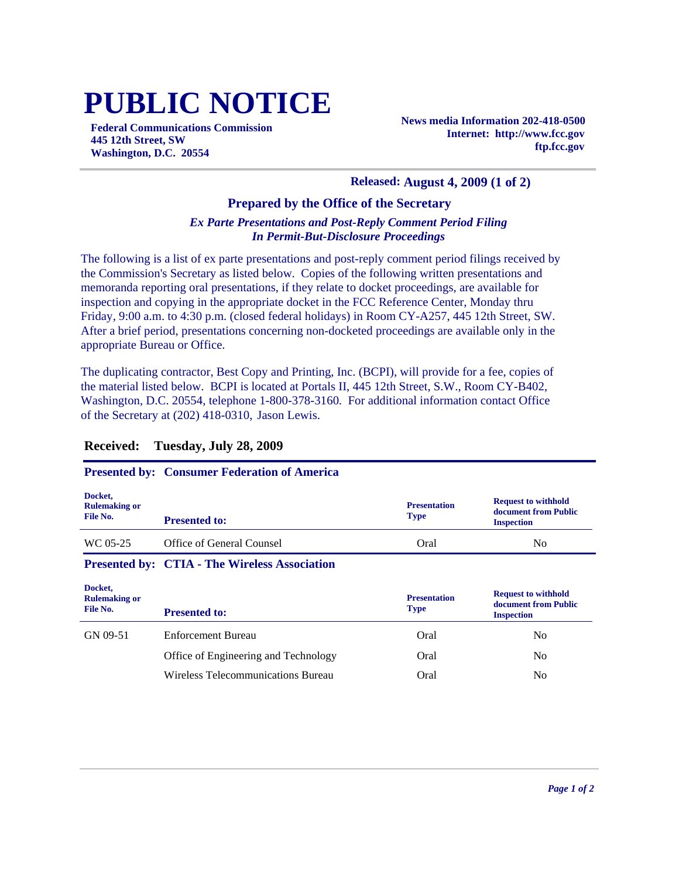# **PUBLIC NOTICE**

**Federal Communications Commission 445 12th Street, SW Washington, D.C. 20554**

**News media Information 202-418-0500 Internet: http://www.fcc.gov ftp.fcc.gov**

#### **Released: August 4, 2009 (1 of 2)**

## **Prepared by the Office of the Secretary**

#### *Ex Parte Presentations and Post-Reply Comment Period Filing In Permit-But-Disclosure Proceedings*

The following is a list of ex parte presentations and post-reply comment period filings received by the Commission's Secretary as listed below. Copies of the following written presentations and memoranda reporting oral presentations, if they relate to docket proceedings, are available for inspection and copying in the appropriate docket in the FCC Reference Center, Monday thru Friday, 9:00 a.m. to 4:30 p.m. (closed federal holidays) in Room CY-A257, 445 12th Street, SW. After a brief period, presentations concerning non-docketed proceedings are available only in the appropriate Bureau or Office.

The duplicating contractor, Best Copy and Printing, Inc. (BCPI), will provide for a fee, copies of the material listed below. BCPI is located at Portals II, 445 12th Street, S.W., Room CY-B402, Washington, D.C. 20554, telephone 1-800-378-3160. For additional information contact Office of the Secretary at (202) 418-0310, Jason Lewis.

## **Presented by: Consumer Federation of America**

| Docket,<br><b>Rulemaking or</b><br>File No. | <b>Presented to:</b>                                 | <b>Presentation</b><br><b>Type</b> | <b>Request to withhold</b><br>document from Public<br><b>Inspection</b> |
|---------------------------------------------|------------------------------------------------------|------------------------------------|-------------------------------------------------------------------------|
| WC 05-25                                    | Office of General Counsel                            | Oral                               | No                                                                      |
|                                             | <b>Presented by: CTIA - The Wireless Association</b> |                                    |                                                                         |

| Docket,<br><b>Rulemaking or</b><br>File No. | <b>Presented to:</b>                 | <b>Presentation</b><br><b>Type</b> | <b>Request to withhold</b><br>document from Public<br><b>Inspection</b> |
|---------------------------------------------|--------------------------------------|------------------------------------|-------------------------------------------------------------------------|
| GN 09-51                                    | Enforcement Bureau                   | Oral                               | No                                                                      |
|                                             | Office of Engineering and Technology | Oral                               | No                                                                      |
|                                             | Wireless Telecommunications Bureau   | Oral                               | No                                                                      |